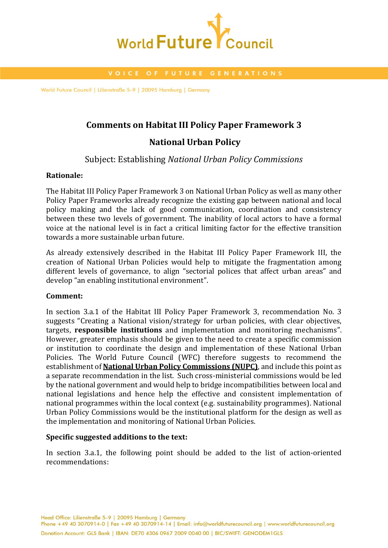

World Future Council | Lilienstraße 5-9 | 20095 Hamburg | Germany

## **Comments on Habitat III Policy Paper Framework 3**

# **National Urban Policy**

## Subject: Establishing *National Urban Policy Commissions*

### **Rationale:**

The Habitat III Policy Paper Framework 3 on National Urban Policy as well as many other Policy Paper Frameworks already recognize the existing gap between national and local policy making and the lack of good communication, coordination and consistency between these two levels of government. The inability of local actors to have a formal voice at the national level is in fact a critical limiting factor for the effective transition towards a more sustainable urban future.

As already extensively described in the Habitat III Policy Paper Framework III, the creation of National Urban Policies would help to mitigate the fragmentation among different levels of governance, to align "sectorial polices that affect urban areas" and develop "an enabling institutional environment".

### **Comment:**

In section 3.a.1 of the Habitat III Policy Paper Framework 3, recommendation No. 3 suggests "Creating a National vision/strategy for urban policies, with clear objectives, targets, **responsible institutions** and implementation and monitoring mechanisms". However, greater emphasis should be given to the need to create a specific commission or institution to coordinate the design and implementation of these National Urban Policies. The World Future Council (WFC) therefore suggests to recommend the establishment of **National Urban Policy Commissions (NUPC)**, and include this point as a separate recommendation in the list. Such cross-ministerial commissions would be led by the national government and would help to bridge incompatibilities between local and national legislations and hence help the effective and consistent implementation of national programmes within the local context (e.g. sustainability programmes). National Urban Policy Commissions would be the institutional platform for the design as well as the implementation and monitoring of National Urban Policies.

### **Specific suggested additions to the text:**

In section 3.a.1, the following point should be added to the list of action-oriented recommendations: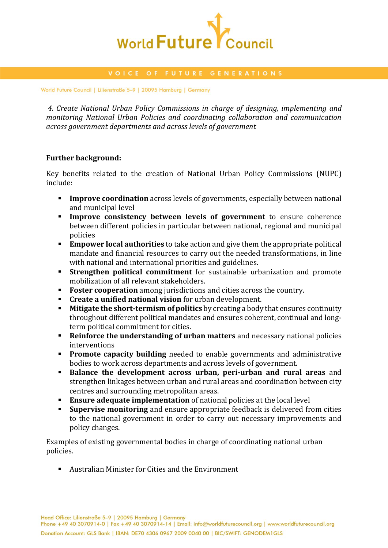

World Future Council | Lilienstraße 5-9 | 20095 Hamburg | Germany

*4. Create National Urban Policy Commissions in charge of designing, implementing and monitoring National Urban Policies and coordinating collaboration and communication across government departments and across levels of government*

### **Further background:**

Key benefits related to the creation of National Urban Policy Commissions (NUPC) include:

- **Improve coordination** across levels of governments, especially between national and municipal level
- **Improve consistency between levels of government** to ensure coherence between different policies in particular between national, regional and municipal policies
- **Empower local authorities** to take action and give them the appropriate political mandate and financial resources to carry out the needed transformations, in line with national and international priorities and guidelines.
- **Strengthen political commitment** for sustainable urbanization and promote mobilization of all relevant stakeholders.
- **Foster cooperation** among jurisdictions and cities across the country.
- **Create a unified national vision** for urban development.
- **Mitigate the short-termism of politics** by creating a body that ensures continuity throughout different political mandates and ensures coherent, continual and longterm political commitment for cities.
- **Reinforce the understanding of urban matters** and necessary national policies interventions
- **Promote capacity building** needed to enable governments and administrative bodies to work across departments and across levels of government.
- **Balance the development across urban, peri-urban and rural areas** and strengthen linkages between urban and rural areas and coordination between city centres and surrounding metropolitan areas.
- **Ensure adequate implementation** of national policies at the local level
- **Supervise monitoring** and ensure appropriate feedback is delivered from cities to the national government in order to carry out necessary improvements and policy changes.

Examples of existing governmental bodies in charge of coordinating national urban policies.

Australian Minister for Cities and the Environment